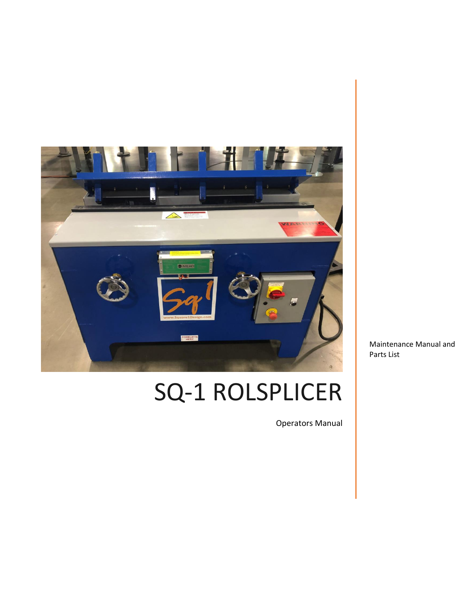

# SQ-1 ROLSPLICER

Operators Manual

Maintenance Manual and Parts List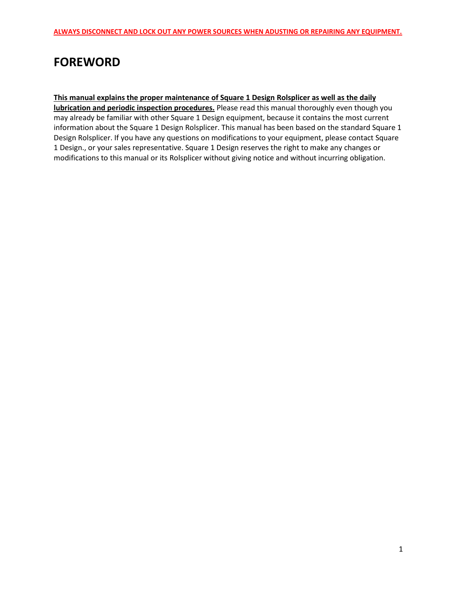# **FOREWORD**

#### **This manual explains the proper maintenance of Square 1 Design Rolsplicer as well as the daily**

**lubrication and periodic inspection procedures.** Please read this manual thoroughly even though you may already be familiar with other Square 1 Design equipment, because it contains the most current information about the Square 1 Design Rolsplicer. This manual has been based on the standard Square 1 Design Rolsplicer. If you have any questions on modifications to your equipment, please contact Square 1 Design., or your sales representative. Square 1 Design reserves the right to make any changes or modifications to this manual or its Rolsplicer without giving notice and without incurring obligation.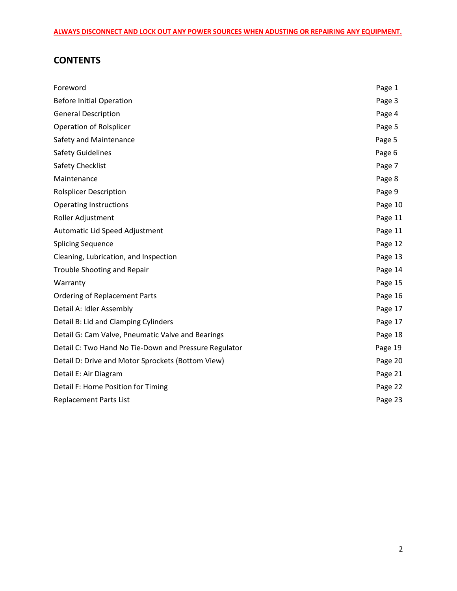## **CONTENTS**

| Foreword                                              | Page 1  |
|-------------------------------------------------------|---------|
| <b>Before Initial Operation</b>                       | Page 3  |
| <b>General Description</b>                            | Page 4  |
| Operation of Rolsplicer                               | Page 5  |
| Safety and Maintenance                                | Page 5  |
| <b>Safety Guidelines</b>                              | Page 6  |
| Safety Checklist                                      | Page 7  |
| Maintenance                                           | Page 8  |
| <b>Rolsplicer Description</b>                         | Page 9  |
| <b>Operating Instructions</b>                         | Page 10 |
| Roller Adjustment                                     | Page 11 |
| Automatic Lid Speed Adjustment                        | Page 11 |
| <b>Splicing Sequence</b>                              | Page 12 |
| Cleaning, Lubrication, and Inspection                 | Page 13 |
| Trouble Shooting and Repair                           | Page 14 |
| Warranty                                              | Page 15 |
| <b>Ordering of Replacement Parts</b>                  | Page 16 |
| Detail A: Idler Assembly                              | Page 17 |
| Detail B: Lid and Clamping Cylinders                  | Page 17 |
| Detail G: Cam Valve, Pneumatic Valve and Bearings     | Page 18 |
| Detail C: Two Hand No Tie-Down and Pressure Regulator | Page 19 |
| Detail D: Drive and Motor Sprockets (Bottom View)     | Page 20 |
| Detail E: Air Diagram                                 | Page 21 |
| Detail F: Home Position for Timing                    | Page 22 |
| <b>Replacement Parts List</b>                         | Page 23 |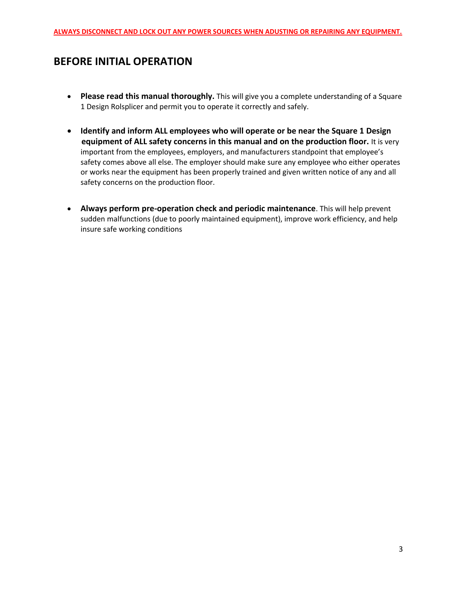## **BEFORE INITIAL OPERATION**

- **Please read this manual thoroughly.** This will give you a complete understanding of a Square 1 Design Rolsplicer and permit you to operate it correctly and safely.
- **Identify and inform ALL employees who will operate or be near the Square 1 Design equipment of ALL safety concerns in this manual and on the production floor.** It is very important from the employees, employers, and manufacturers standpoint that employee's safety comes above all else. The employer should make sure any employee who either operates or works near the equipment has been properly trained and given written notice of any and all safety concerns on the production floor.
- **Always perform pre-operation check and periodic maintenance**. This will help prevent sudden malfunctions (due to poorly maintained equipment), improve work efficiency, and help insure safe working conditions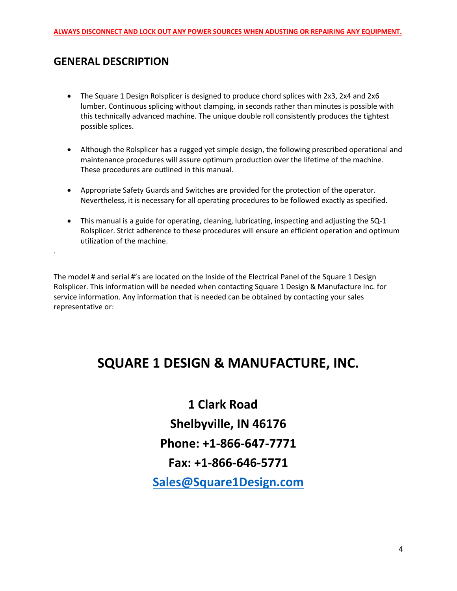## **GENERAL DESCRIPTION**

.

- The Square 1 Design Rolsplicer is designed to produce chord splices with 2x3, 2x4 and 2x6 lumber. Continuous splicing without clamping, in seconds rather than minutes is possible with this technically advanced machine. The unique double roll consistently produces the tightest possible splices.
- Although the Rolsplicer has a rugged yet simple design, the following prescribed operational and maintenance procedures will assure optimum production over the lifetime of the machine. These procedures are outlined in this manual.
- Appropriate Safety Guards and Switches are provided for the protection of the operator. Nevertheless, it is necessary for all operating procedures to be followed exactly as specified.
- This manual is a guide for operating, cleaning, lubricating, inspecting and adjusting the SQ-1 Rolsplicer. Strict adherence to these procedures will ensure an efficient operation and optimum utilization of the machine.

The model # and serial #'s are located on the Inside of the Electrical Panel of the Square 1 Design Rolsplicer. This information will be needed when contacting Square 1 Design & Manufacture Inc. for service information. Any information that is needed can be obtained by contacting your sales representative or:

# **SQUARE 1 DESIGN & MANUFACTURE, INC.**

**1 Clark Road Shelbyville, IN 46176 Phone: +1-866-647-7771 Fax: +1-866-646-5771 [Sales@Square1Design.com](mailto:Sales@Square1Design.com)**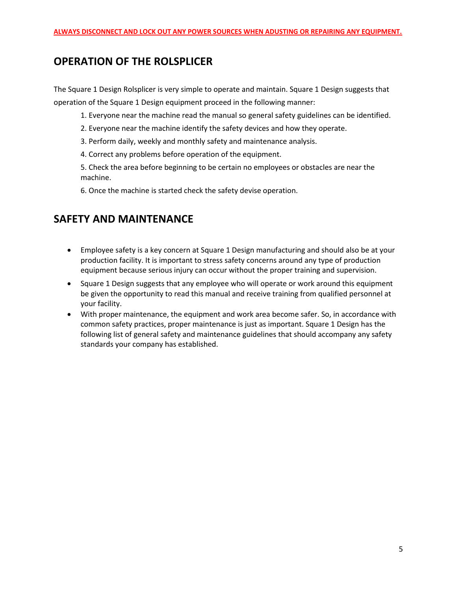## **OPERATION OF THE ROLSPLICER**

The Square 1 Design Rolsplicer is very simple to operate and maintain. Square 1 Design suggests that operation of the Square 1 Design equipment proceed in the following manner:

- 1. Everyone near the machine read the manual so general safety guidelines can be identified.
- 2. Everyone near the machine identify the safety devices and how they operate.
- 3. Perform daily, weekly and monthly safety and maintenance analysis.
- 4. Correct any problems before operation of the equipment.

5. Check the area before beginning to be certain no employees or obstacles are near the machine.

6. Once the machine is started check the safety devise operation.

# **SAFETY AND MAINTENANCE**

- Employee safety is a key concern at Square 1 Design manufacturing and should also be at your production facility. It is important to stress safety concerns around any type of production equipment because serious injury can occur without the proper training and supervision.
- Square 1 Design suggests that any employee who will operate or work around this equipment be given the opportunity to read this manual and receive training from qualified personnel at your facility.
- With proper maintenance, the equipment and work area become safer. So, in accordance with common safety practices, proper maintenance is just as important. Square 1 Design has the following list of general safety and maintenance guidelines that should accompany any safety standards your company has established.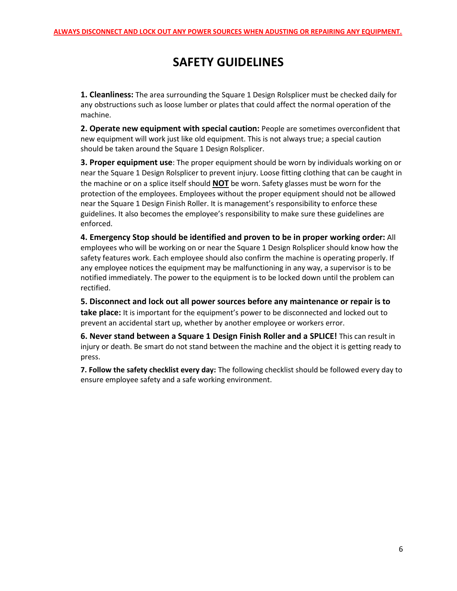# **SAFETY GUIDELINES**

**1. Cleanliness:** The area surrounding the Square 1 Design Rolsplicer must be checked daily for any obstructions such as loose lumber or plates that could affect the normal operation of the machine.

**2. Operate new equipment with special caution:** People are sometimes overconfident that new equipment will work just like old equipment. This is not always true; a special caution should be taken around the Square 1 Design Rolsplicer.

**3. Proper equipment use**: The proper equipment should be worn by individuals working on or near the Square 1 Design Rolsplicer to prevent injury. Loose fitting clothing that can be caught in the machine or on a splice itself should **NOT** be worn. Safety glasses must be worn for the protection of the employees. Employees without the proper equipment should not be allowed near the Square 1 Design Finish Roller. It is management's responsibility to enforce these guidelines. It also becomes the employee's responsibility to make sure these guidelines are enforced.

**4. Emergency Stop should be identified and proven to be in proper working order:** All employees who will be working on or near the Square 1 Design Rolsplicer should know how the safety features work. Each employee should also confirm the machine is operating properly. If any employee notices the equipment may be malfunctioning in any way, a supervisor is to be notified immediately. The power to the equipment is to be locked down until the problem can rectified.

**5. Disconnect and lock out all power sources before any maintenance or repair is to take place:** It is important for the equipment's power to be disconnected and locked out to prevent an accidental start up, whether by another employee or workers error.

**6. Never stand between a Square 1 Design Finish Roller and a SPLICE!** This can result in injury or death. Be smart do not stand between the machine and the object it is getting ready to press.

**7. Follow the safety checklist every day:** The following checklist should be followed every day to ensure employee safety and a safe working environment.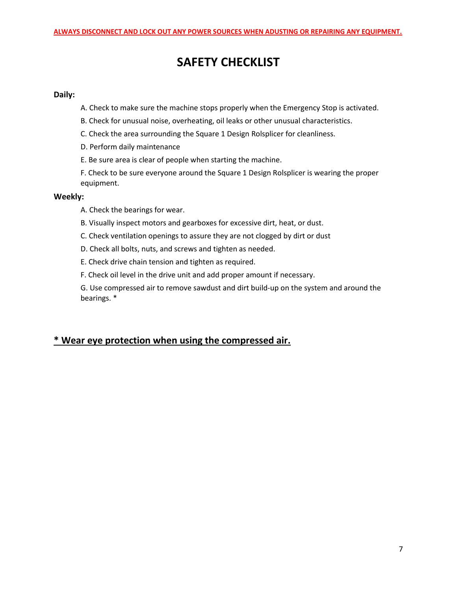# **SAFETY CHECKLIST**

#### **Daily:**

- A. Check to make sure the machine stops properly when the Emergency Stop is activated.
- B. Check for unusual noise, overheating, oil leaks or other unusual characteristics.
- C. Check the area surrounding the Square 1 Design Rolsplicer for cleanliness.
- D. Perform daily maintenance
- E. Be sure area is clear of people when starting the machine.

F. Check to be sure everyone around the Square 1 Design Rolsplicer is wearing the proper equipment.

#### **Weekly:**

- A. Check the bearings for wear.
- B. Visually inspect motors and gearboxes for excessive dirt, heat, or dust.
- C. Check ventilation openings to assure they are not clogged by dirt or dust
- D. Check all bolts, nuts, and screws and tighten as needed.
- E. Check drive chain tension and tighten as required.
- F. Check oil level in the drive unit and add proper amount if necessary.

G. Use compressed air to remove sawdust and dirt build-up on the system and around the bearings. \*

#### **\* Wear eye protection when using the compressed air.**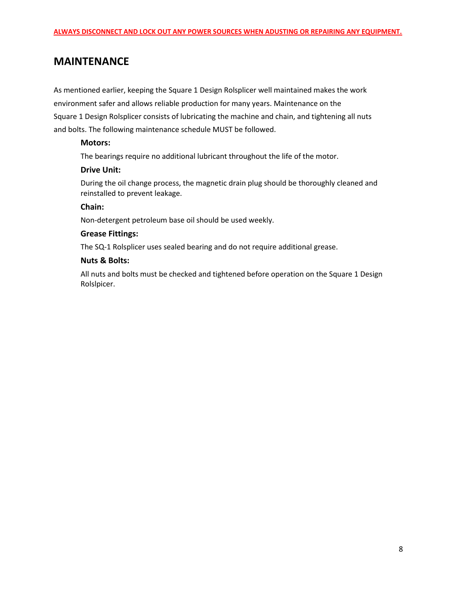#### **MAINTENANCE**

As mentioned earlier, keeping the Square 1 Design Rolsplicer well maintained makes the work environment safer and allows reliable production for many years. Maintenance on the Square 1 Design Rolsplicer consists of lubricating the machine and chain, and tightening all nuts and bolts. The following maintenance schedule MUST be followed.

#### **Motors:**

The bearings require no additional lubricant throughout the life of the motor.

#### **Drive Unit:**

During the oil change process, the magnetic drain plug should be thoroughly cleaned and reinstalled to prevent leakage.

#### **Chain:**

Non-detergent petroleum base oil should be used weekly.

#### **Grease Fittings:**

The SQ-1 Rolsplicer uses sealed bearing and do not require additional grease.

#### **Nuts & Bolts:**

All nuts and bolts must be checked and tightened before operation on the Square 1 Design Rolslpicer.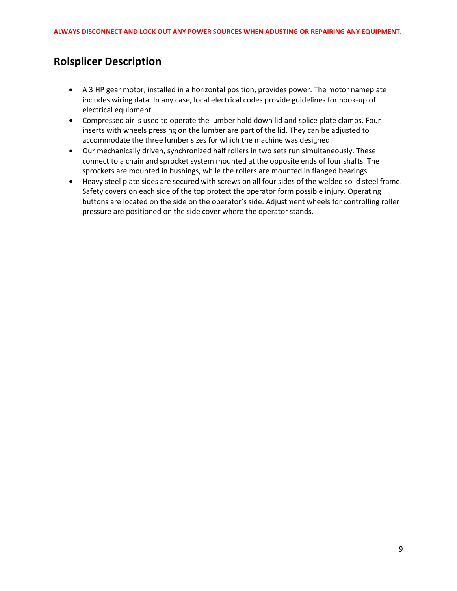# **Rolsplicer Description**

- A 3 HP gear motor, installed in a horizontal position, provides power. The motor nameplate includes wiring data. In any case, local electrical codes provide guidelines for hook-up of electrical equipment.
- Compressed air is used to operate the lumber hold down lid and splice plate clamps. Four inserts with wheels pressing on the lumber are part of the lid. They can be adjusted to accommodate the three lumber sizes for which the machine was designed.
- Our mechanically driven, synchronized half rollers in two sets run simultaneously. These connect to a chain and sprocket system mounted at the opposite ends of four shafts. The sprockets are mounted in bushings, while the rollers are mounted in flanged bearings.
- Heavy steel plate sides are secured with screws on all four sides of the welded solid steel frame. Safety covers on each side of the top protect the operator form possible injury. Operating buttons are located on the side on the operator's side. Adjustment wheels for controlling roller pressure are positioned on the side cover where the operator stands.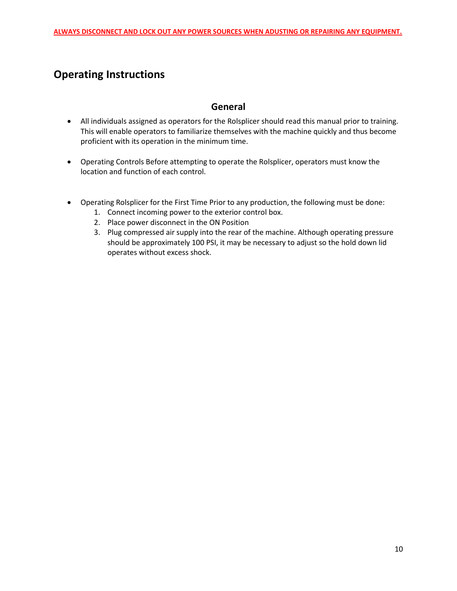# **Operating Instructions**

#### **General**

- All individuals assigned as operators for the Rolsplicer should read this manual prior to training. This will enable operators to familiarize themselves with the machine quickly and thus become proficient with its operation in the minimum time.
- Operating Controls Before attempting to operate the Rolsplicer, operators must know the location and function of each control.
- Operating Rolsplicer for the First Time Prior to any production, the following must be done:
	- 1. Connect incoming power to the exterior control box.
	- 2. Place power disconnect in the ON Position
	- 3. Plug compressed air supply into the rear of the machine. Although operating pressure should be approximately 100 PSI, it may be necessary to adjust so the hold down lid operates without excess shock.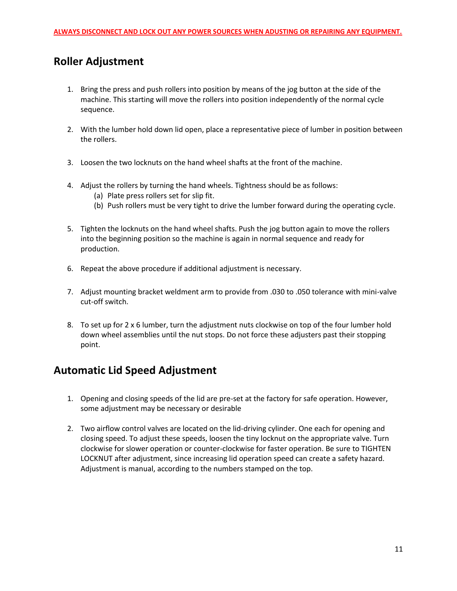## **Roller Adjustment**

- 1. Bring the press and push rollers into position by means of the jog button at the side of the machine. This starting will move the rollers into position independently of the normal cycle sequence.
- 2. With the lumber hold down lid open, place a representative piece of lumber in position between the rollers.
- 3. Loosen the two locknuts on the hand wheel shafts at the front of the machine.
- 4. Adjust the rollers by turning the hand wheels. Tightness should be as follows:
	- (a) Plate press rollers set for slip fit.
	- (b) Push rollers must be very tight to drive the lumber forward during the operating cycle.
- 5. Tighten the locknuts on the hand wheel shafts. Push the jog button again to move the rollers into the beginning position so the machine is again in normal sequence and ready for production.
- 6. Repeat the above procedure if additional adjustment is necessary.
- 7. Adjust mounting bracket weldment arm to provide from .030 to .050 tolerance with mini-valve cut-off switch.
- 8. To set up for 2 x 6 lumber, turn the adjustment nuts clockwise on top of the four lumber hold down wheel assemblies until the nut stops. Do not force these adjusters past their stopping point.

#### **Automatic Lid Speed Adjustment**

- 1. Opening and closing speeds of the lid are pre-set at the factory for safe operation. However, some adjustment may be necessary or desirable
- 2. Two airflow control valves are located on the lid-driving cylinder. One each for opening and closing speed. To adjust these speeds, loosen the tiny locknut on the appropriate valve. Turn clockwise for slower operation or counter-clockwise for faster operation. Be sure to TIGHTEN LOCKNUT after adjustment, since increasing lid operation speed can create a safety hazard. Adjustment is manual, according to the numbers stamped on the top.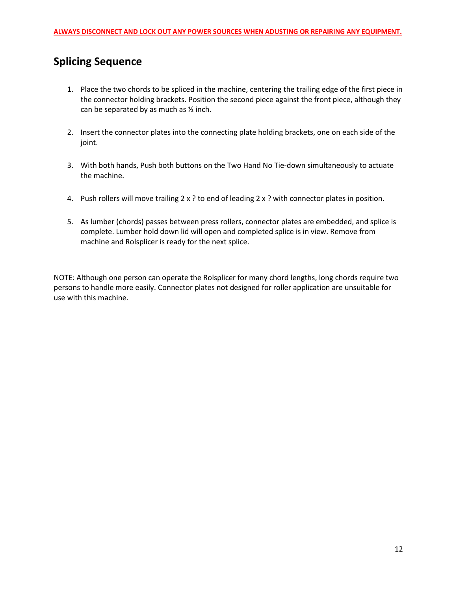# **Splicing Sequence**

- 1. Place the two chords to be spliced in the machine, centering the trailing edge of the first piece in the connector holding brackets. Position the second piece against the front piece, although they can be separated by as much as  $\frac{1}{2}$  inch.
- 2. Insert the connector plates into the connecting plate holding brackets, one on each side of the joint.
- 3. With both hands, Push both buttons on the Two Hand No Tie-down simultaneously to actuate the machine.
- 4. Push rollers will move trailing 2 x ? to end of leading 2 x ? with connector plates in position.
- 5. As lumber (chords) passes between press rollers, connector plates are embedded, and splice is complete. Lumber hold down lid will open and completed splice is in view. Remove from machine and Rolsplicer is ready for the next splice.

NOTE: Although one person can operate the Rolsplicer for many chord lengths, long chords require two persons to handle more easily. Connector plates not designed for roller application are unsuitable for use with this machine.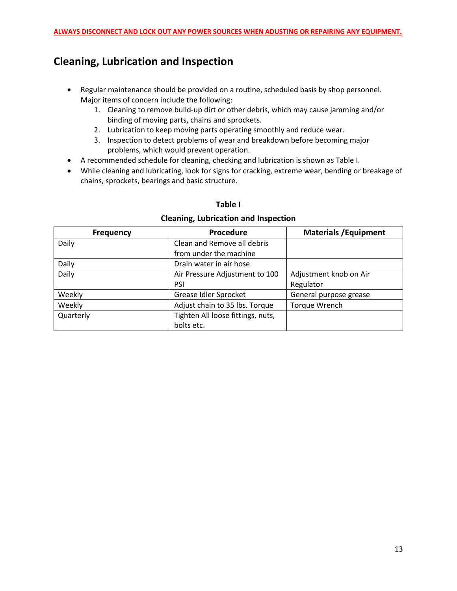# **Cleaning, Lubrication and Inspection**

- Regular maintenance should be provided on a routine, scheduled basis by shop personnel. Major items of concern include the following:
	- 1. Cleaning to remove build-up dirt or other debris, which may cause jamming and/or binding of moving parts, chains and sprockets.
	- 2. Lubrication to keep moving parts operating smoothly and reduce wear.
	- 3. Inspection to detect problems of wear and breakdown before becoming major problems, which would prevent operation.
- A recommended schedule for cleaning, checking and lubrication is shown as Table I.
- While cleaning and lubricating, look for signs for cracking, extreme wear, bending or breakage of chains, sprockets, bearings and basic structure.

#### **Table I**

#### **Frequency Procedure Materials /Equipment** Daily **Daily** Clean and Remove all debris from under the machine Daily Drain water in air hose Daily Daily **Daily** Air Pressure Adjustment to 100 PSI Adjustment knob on Air Regulator Weekly Grease Idler Sprocket General purpose grease Weekly **Adjust chain to 35 lbs. Torque Torque Wrench** Wrench Quarterly **Tighten All loose fittings, nuts,** bolts etc.

#### **Cleaning, Lubrication and Inspection**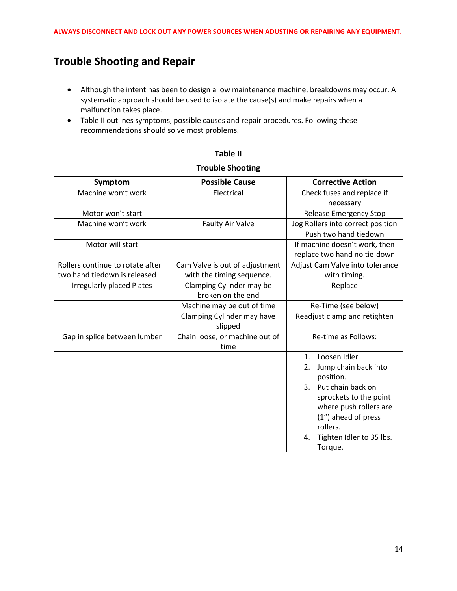# **Trouble Shooting and Repair**

- Although the intent has been to design a low maintenance machine, breakdowns may occur. A systematic approach should be used to isolate the cause(s) and make repairs when a malfunction takes place.
- Table II outlines symptoms, possible causes and repair procedures. Following these recommendations should solve most problems.

| Symptom                          | <b>Possible Cause</b>          | <b>Corrective Action</b>            |  |  |
|----------------------------------|--------------------------------|-------------------------------------|--|--|
| Machine won't work               | Electrical                     | Check fuses and replace if          |  |  |
|                                  |                                | necessary                           |  |  |
| Motor won't start                |                                | <b>Release Emergency Stop</b>       |  |  |
| Machine won't work               | <b>Faulty Air Valve</b>        | Jog Rollers into correct position   |  |  |
|                                  |                                | Push two hand tiedown               |  |  |
| Motor will start                 |                                | If machine doesn't work, then       |  |  |
|                                  |                                | replace two hand no tie-down        |  |  |
| Rollers continue to rotate after | Cam Valve is out of adjustment | Adjust Cam Valve into tolerance     |  |  |
| two hand tiedown is released     | with the timing sequence.      | with timing.                        |  |  |
| <b>Irregularly placed Plates</b> | Clamping Cylinder may be       | Replace                             |  |  |
|                                  | broken on the end              |                                     |  |  |
|                                  | Machine may be out of time     | Re-Time (see below)                 |  |  |
|                                  | Clamping Cylinder may have     | Readjust clamp and retighten        |  |  |
|                                  | slipped                        |                                     |  |  |
| Gap in splice between lumber     | Chain loose, or machine out of | Re-time as Follows:                 |  |  |
|                                  | time                           |                                     |  |  |
|                                  |                                | Loosen Idler<br>1.                  |  |  |
|                                  |                                | Jump chain back into<br>2.          |  |  |
|                                  |                                | position.                           |  |  |
|                                  |                                | Put chain back on<br>$\mathbf{3}$ . |  |  |
|                                  |                                | sprockets to the point              |  |  |
|                                  |                                | where push rollers are              |  |  |
|                                  |                                | (1") ahead of press                 |  |  |
|                                  |                                | rollers.                            |  |  |
|                                  |                                | Tighten Idler to 35 lbs.<br>4.      |  |  |
|                                  |                                | Torque.                             |  |  |

# **Table II**

#### **Trouble Shooting**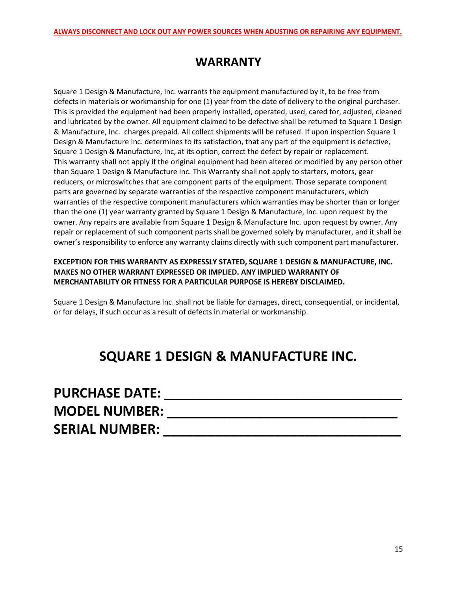# **WARRANTY**

Square 1 Design & Manufacture, Inc. warrants the equipment manufactured by it, to be free from defects in materials or workmanship for one (1) year from the date of delivery to the original purchaser. This is provided the equipment had been properly installed, operated, used, cared for, adjusted, cleaned and lubricated by the owner. All equipment claimed to be defective shall be returned to Square 1 Design & Manufacture, Inc. charges prepaid. All collect shipments will be refused. If upon inspection Square 1 Design & Manufacture Inc. determines to its satisfaction, that any part of the equipment is defective, Square 1 Design & Manufacture, Inc, at its option, correct the defect by repair or replacement. This warranty shall not apply if the original equipment had been altered or modified by any person other than Square 1 Design & Manufacture Inc. This Warranty shall not apply to starters, motors, gear reducers, or microswitches that are component parts of the equipment. Those separate component parts are governed by separate warranties of the respective component manufacturers, which warranties of the respective component manufacturers which warranties may be shorter than or longer than the one (1) year warranty granted by Square 1 Design & Manufacture, Inc. upon request by the owner. Any repairs are available from Square 1 Design & Manufacture Inc. upon request by owner. Any repair or replacement of such component parts shall be governed solely by manufacturer, and it shall be owner's responsibility to enforce any warranty claims directly with such component part manufacturer.

#### **EXCEPTION FOR THIS WARRANTY AS EXPRESSLY STATED, SQUARE 1 DESIGN & MANUFACTURE, INC. MAKES NO OTHER WARRANT EXPRESSED OR IMPLIED. ANY IMPLIED WARRANTY OF MERCHANTABILITY OR FITNESS FOR A PARTICULAR PURPOSE IS HEREBY DISCLAIMED.**

Square 1 Design & Manufacture Inc. shall not be liable for damages, direct, consequential, or incidental, or for delays, if such occur as a result of defects in material or workmanship.

# **SQUARE 1 DESIGN & MANUFACTURE INC.**

| <b>PURCHASE DATE:</b> |  |
|-----------------------|--|
| <b>MODEL NUMBER:</b>  |  |
| <b>SERIAL NUMBER:</b> |  |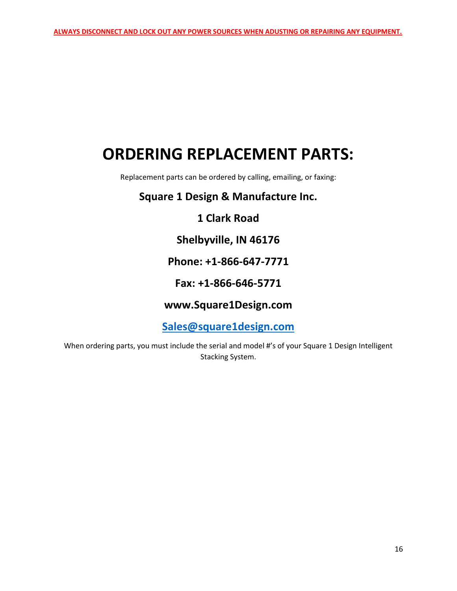# **ORDERING REPLACEMENT PARTS:**

Replacement parts can be ordered by calling, emailing, or faxing:

## **Square 1 Design & Manufacture Inc.**

## **1 Clark Road**

## **Shelbyville, IN 46176**

## **Phone: +1-866-647-7771**

## **Fax: +1-866-646-5771**

## **www.Square1Design.com**

**[Sales@square1design.com](mailto:Sales@square1design.com)**

When ordering parts, you must include the serial and model #'s of your Square 1 Design Intelligent Stacking System.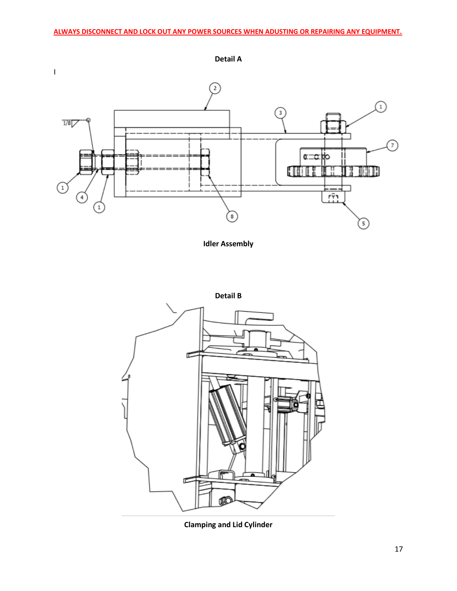

**Idler Assembly**



**Clamping and Lid Cylinder**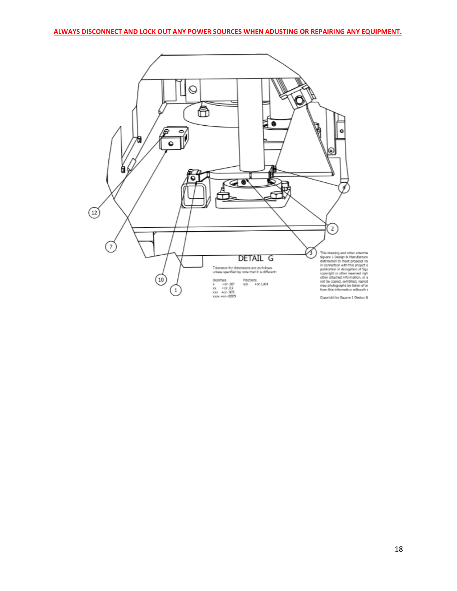**ALWAYS DISCONNECT AND LOCK OUT ANY POWER SOURCES WHEN ADUSTING OR REPAIRING ANY EQUIPMENT.**

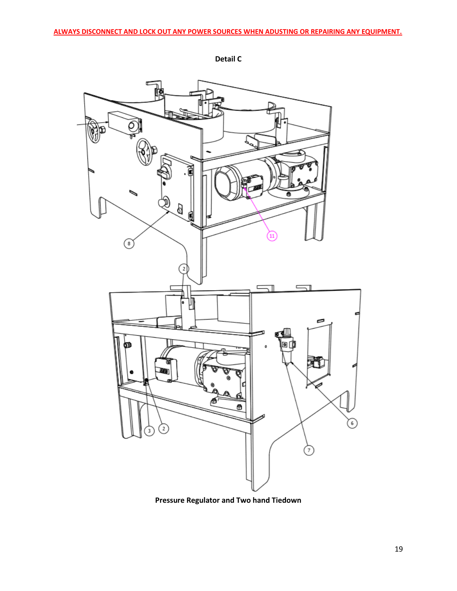

**Detail C**

**Pressure Regulator and Two hand Tiedown**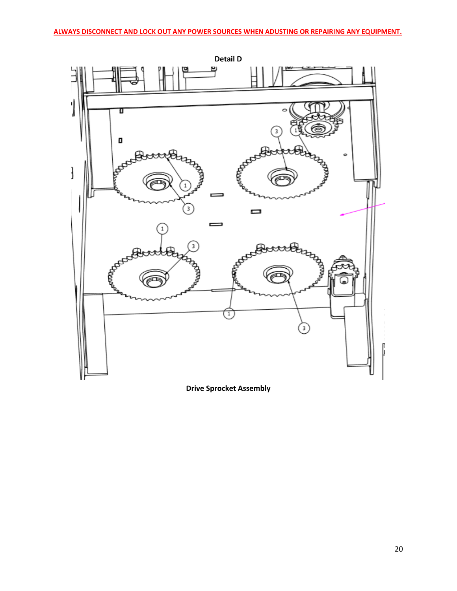

**Drive Sprocket Assembly**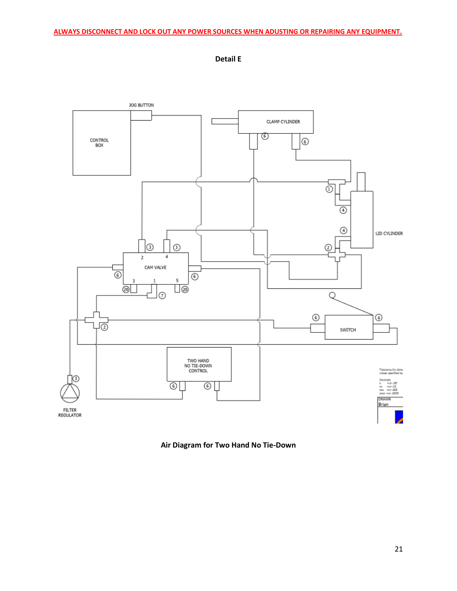

**Detail E**

**Air Diagram for Two Hand No Tie-Down**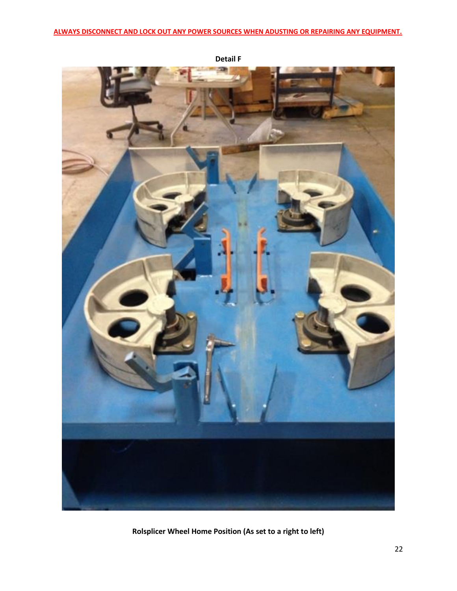

**Detail F**

**Rolsplicer Wheel Home Position (As set to a right to left)**